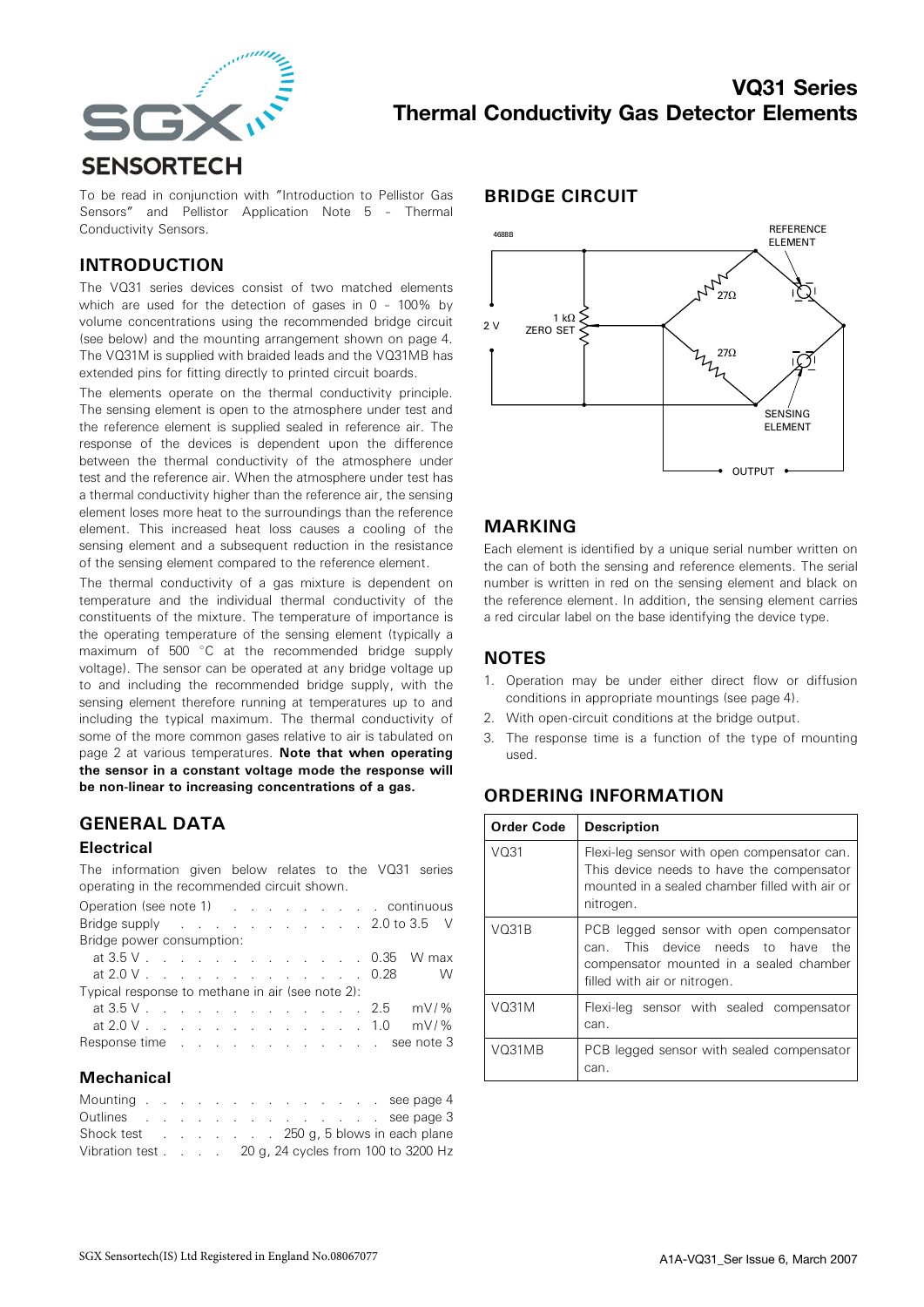

To be read in conjunction with "Introduction to Pellistor Gas Sensors" and Pellistor Application Note 5 – Thermal Conductivity Sensors.

#### INTRODUCTION

The VQ31 series devices consist of two matched elements which are used for the detection of gases in 0 – 100% by volume concentrations using the recommended bridge circuit (see below) and the mounting arrangement shown on page 4. The VQ31M is supplied with braided leads and the VQ31MB has extended pins for fitting directly to printed circuit boards.

The elements operate on the thermal conductivity principle. The sensing element is open to the atmosphere under test and the reference element is supplied sealed in reference air. The response of the devices is dependent upon the difference between the thermal conductivity of the atmosphere under test and the reference air. When the atmosphere under test has a thermal conductivity higher than the reference air, the sensing element loses more heat to the surroundings than the reference element. This increased heat loss causes a cooling of the sensing element and a subsequent reduction in the resistance of the sensing element compared to the reference element.

The thermal conductivity of a gas mixture is dependent on temperature and the individual thermal conductivity of the constituents of the mixture. The temperature of importance is the operating temperature of the sensing element (typically a maximum of 500 °C at the recommended bridge supply voltage). The sensor can be operated at any bridge voltage up to and including the recommended bridge supply, with the sensing element therefore running at temperatures up to and including the typical maximum. The thermal conductivity of some of the more common gases relative to air is tabulated on page 2 at various temperatures. Note that when operating the sensor in a constant voltage mode the response will be non-linear to increasing concentrations of a gas.

# GENERAL DATA

#### **Electrical**

The information given below relates to the VQ31 series operating in the recommended circuit shown.

| Operation (see note 1) (Contained a continuous continuous |  |  |  |  |  |  |
|-----------------------------------------------------------|--|--|--|--|--|--|
| Bridge supply 2.0 to 3.5 V                                |  |  |  |  |  |  |
| Bridge power consumption:                                 |  |  |  |  |  |  |
| at 3.5 V 0.35 W max                                       |  |  |  |  |  |  |
| at 2.0 V 0.28 W                                           |  |  |  |  |  |  |
| Typical response to methane in air (see note 2):          |  |  |  |  |  |  |
| at $3.5 \, \text{V}$ . 2.5 mV/%                           |  |  |  |  |  |  |
| at $2.0 \, \text{V}$ . 1.0 mV/%                           |  |  |  |  |  |  |
| Response time see note 3                                  |  |  |  |  |  |  |

#### Mechanical

| Mounting see page 4                                                  |  |  |  |  |  |  |  |
|----------------------------------------------------------------------|--|--|--|--|--|--|--|
| Outlines example and the second see page 3                           |  |  |  |  |  |  |  |
|                                                                      |  |  |  |  |  |  |  |
| Vibration test $\ldots$ $\ldots$ 20 g, 24 cycles from 100 to 3200 Hz |  |  |  |  |  |  |  |

#### BRIDGE CIRCUIT



#### MARKING

Each element is identified by a unique serial number written on the can of both the sensing and reference elements. The serial number is written in red on the sensing element and black on the reference element. In addition, the sensing element carries a red circular label on the base identifying the device type.

### **NOTES**

- 1. Operation may be under either direct flow or diffusion conditions in appropriate mountings (see page 4).
- 2. With open-circuit conditions at the bridge output.
- 3. The response time is a function of the type of mounting used.

# ORDERING INFORMATION

| Order Code         | <b>Description</b>                                                                                                                                             |
|--------------------|----------------------------------------------------------------------------------------------------------------------------------------------------------------|
| V <sub>031</sub>   | Flexi-leg sensor with open compensator can.<br>This device needs to have the compensator<br>mounted in a sealed chamber filled with air or<br>nitrogen.        |
| VO31B              | PCB legged sensor with open compensator<br>This device needs to have<br>the<br>can.<br>compensator mounted in a sealed chamber<br>filled with air or nitrogen. |
| V <sub>O31</sub> M | Flexi-leg sensor with sealed compensator<br>can.                                                                                                               |
| VO31MB             | PCB legged sensor with sealed compensator<br>can.                                                                                                              |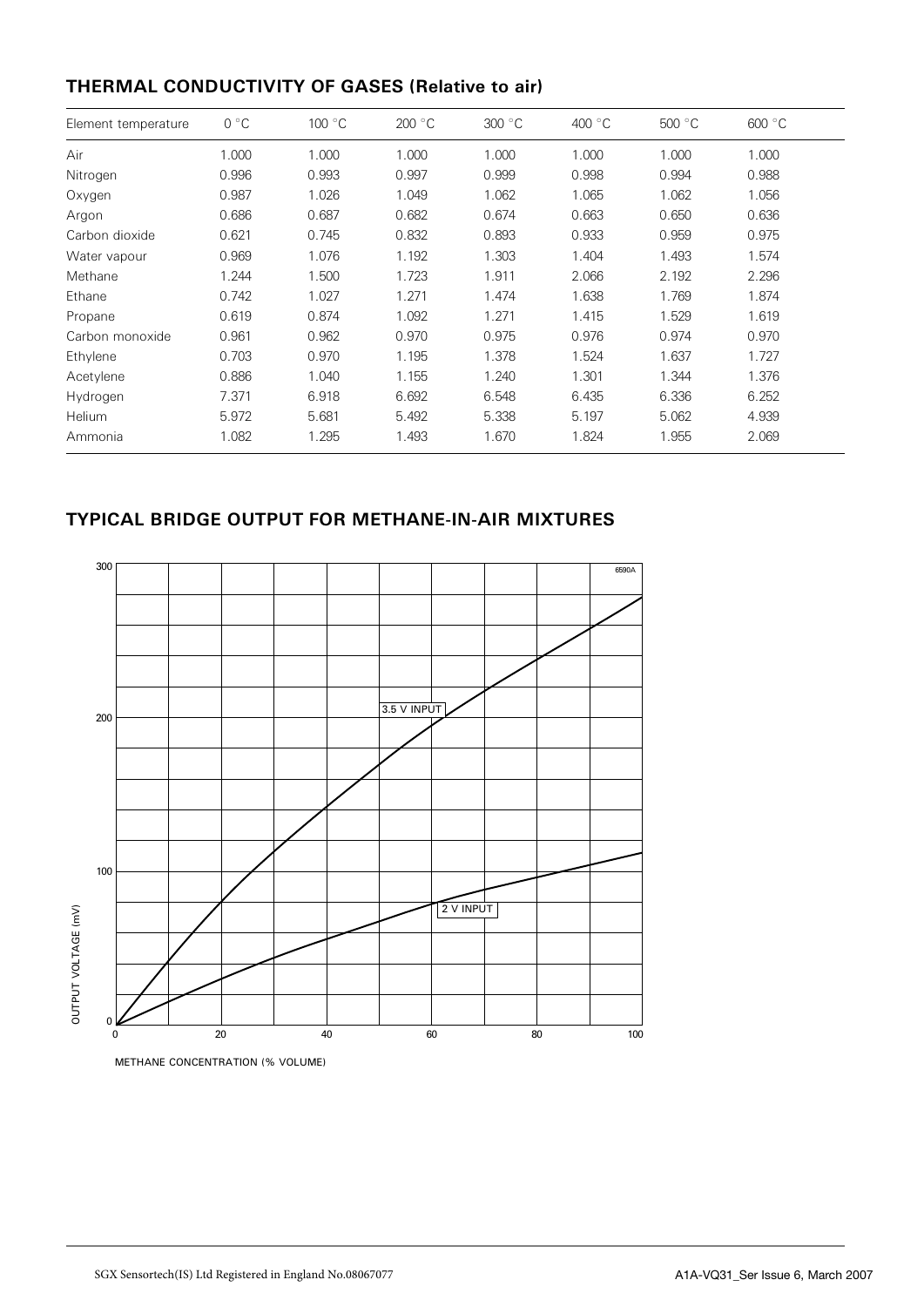# THERMAL CONDUCTIVITY OF GASES (Relative to air)

| Element temperature | $0^{\circ}C$ | 100 °C | 200 °C | 300 °C | 400 °C | 500 °C | 600 °C |
|---------------------|--------------|--------|--------|--------|--------|--------|--------|
| Air                 | 1.000        | 1.000  | 1.000  | 1.000  | 1.000  | 1.000  | 1.000  |
| Nitrogen            | 0.996        | 0.993  | 0.997  | 0.999  | 0.998  | 0.994  | 0.988  |
| Oxygen              | 0.987        | 1.026  | 1.049  | 1.062  | 1.065  | 1.062  | 1.056  |
| Argon               | 0.686        | 0.687  | 0.682  | 0.674  | 0.663  | 0.650  | 0.636  |
| Carbon dioxide      | 0.621        | 0.745  | 0.832  | 0.893  | 0.933  | 0.959  | 0.975  |
| Water vapour        | 0.969        | 1.076  | 1.192  | 1.303  | 1.404  | 1.493  | 1.574  |
| Methane             | 1.244        | 1.500  | 1.723  | 1.911  | 2.066  | 2.192  | 2.296  |
| Ethane              | 0.742        | 1.027  | 1.271  | 1.474  | 1.638  | 1.769  | 1.874  |
| Propane             | 0.619        | 0.874  | 1.092  | 1.271  | 1.415  | 1.529  | 1.619  |
| Carbon monoxide     | 0.961        | 0.962  | 0.970  | 0.975  | 0.976  | 0.974  | 0.970  |
| Ethylene            | 0.703        | 0.970  | 1.195  | 1.378  | 1.524  | 1.637  | 1.727  |
| Acetylene           | 0.886        | 1.040  | 1.155  | 1.240  | 1.301  | 1.344  | 1.376  |
| Hydrogen            | 7.371        | 6.918  | 6.692  | 6.548  | 6.435  | 6.336  | 6.252  |
| Helium              | 5.972        | 5.681  | 5.492  | 5.338  | 5.197  | 5.062  | 4.939  |
| Ammonia             | 1.082        | 1.295  | 1.493  | 1.670  | 1.824  | 1.955  | 2.069  |

# TYPICAL BRIDGE OUTPUT FOR METHANE-IN-AIR MIXTURES



METHANE CONCENTRATION (% VOLUME)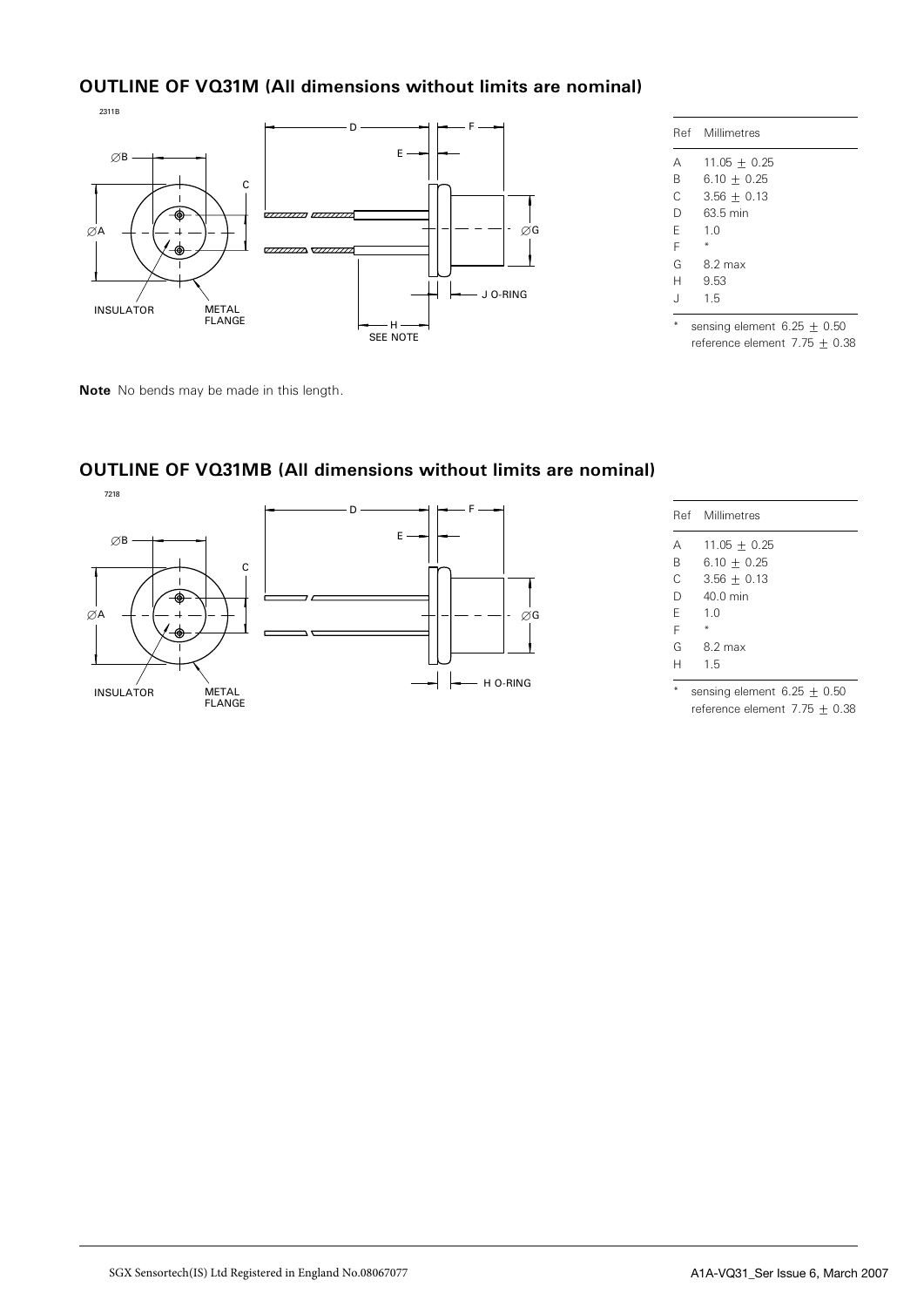# OUTLINE OF VQ31M (All dimensions without limits are nominal)



Note No bends may be made in this length.

|   | Ref Millimetres               |
|---|-------------------------------|
| Α | $11.05 + 0.25$                |
| B | $6.10 + 0.25$                 |
| C | $3.56 + 0.13$                 |
| D | 63.5 min                      |
| F | 1.0                           |
| F |                               |
| G | 8.2 max                       |
| Н | 9.53                          |
| J | 1.5                           |
|   | sensing element $6.25 + 0.50$ |

reference element  $7.75 \pm 0.38$ 



# OUTLINE OF VQ31MB (All dimensions without limits are nominal)

|   | Ref Millimetres  |
|---|------------------|
| А | $11.05 \pm 0.25$ |
| B | $6.10 + 0.25$    |
| C | $3.56 + 0.13$    |
| D | 40.0 min         |
| F | 1 <sub>0</sub>   |
| F |                  |
| G | 8.2 max          |
| н | 15               |

<sup>\*</sup> sensing element  $6.25 \pm 0.50$ reference element  $7.75 \pm 0.38$